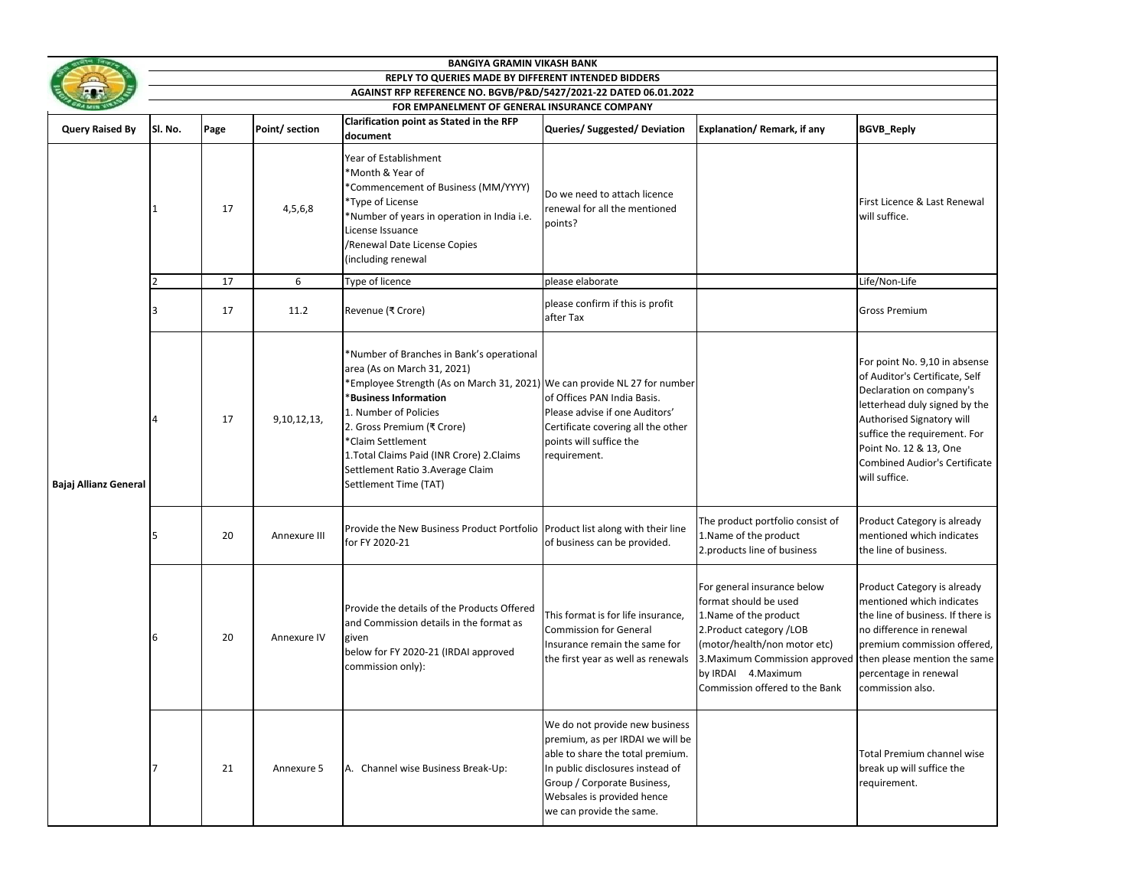|                        | <b>BANGIYA GRAMIN VIKASH BANK</b>                                                                                |      |                |                                                                                                                                                                                                                                                                                                                                                                               |                                                                                                                                                                                                                                     |                                                                                                                                                                                                                                        |                                                                                                                                                                                                                                                                              |  |  |  |
|------------------------|------------------------------------------------------------------------------------------------------------------|------|----------------|-------------------------------------------------------------------------------------------------------------------------------------------------------------------------------------------------------------------------------------------------------------------------------------------------------------------------------------------------------------------------------|-------------------------------------------------------------------------------------------------------------------------------------------------------------------------------------------------------------------------------------|----------------------------------------------------------------------------------------------------------------------------------------------------------------------------------------------------------------------------------------|------------------------------------------------------------------------------------------------------------------------------------------------------------------------------------------------------------------------------------------------------------------------------|--|--|--|
|                        | REPLY TO QUERIES MADE BY DIFFERENT INTENDED BIDDERS                                                              |      |                |                                                                                                                                                                                                                                                                                                                                                                               |                                                                                                                                                                                                                                     |                                                                                                                                                                                                                                        |                                                                                                                                                                                                                                                                              |  |  |  |
|                        | AGAINST RFP REFERENCE NO. BGVB/P&D/5427/2021-22 DATED 06.01.2022<br>FOR EMPANELMENT OF GENERAL INSURANCE COMPANY |      |                |                                                                                                                                                                                                                                                                                                                                                                               |                                                                                                                                                                                                                                     |                                                                                                                                                                                                                                        |                                                                                                                                                                                                                                                                              |  |  |  |
|                        | Clarification point as Stated in the RFP                                                                         |      |                |                                                                                                                                                                                                                                                                                                                                                                               |                                                                                                                                                                                                                                     |                                                                                                                                                                                                                                        |                                                                                                                                                                                                                                                                              |  |  |  |
| <b>Query Raised By</b> | Sl. No.                                                                                                          | Page | Point/ section | document                                                                                                                                                                                                                                                                                                                                                                      | Queries/Suggested/Deviation                                                                                                                                                                                                         | Explanation/Remark, if any                                                                                                                                                                                                             | <b>BGVB_Reply</b>                                                                                                                                                                                                                                                            |  |  |  |
|                        | 1                                                                                                                | 17   | 4,5,6,8        | Year of Establishment<br>*Month & Year of<br>*Commencement of Business (MM/YYYY)<br>*Type of License<br>*Number of years in operation in India i.e.<br>License Issuance<br>/Renewal Date License Copies<br>(including renewal                                                                                                                                                 | Do we need to attach licence<br>renewal for all the mentioned<br>points?                                                                                                                                                            |                                                                                                                                                                                                                                        | First Licence & Last Renewal<br>will suffice.                                                                                                                                                                                                                                |  |  |  |
|                        |                                                                                                                  | 17   | 6              | Type of licence                                                                                                                                                                                                                                                                                                                                                               | please elaborate                                                                                                                                                                                                                    |                                                                                                                                                                                                                                        | Life/Non-Life                                                                                                                                                                                                                                                                |  |  |  |
| Bajaj Allianz General  |                                                                                                                  | 17   | 11.2           | Revenue (₹ Crore)                                                                                                                                                                                                                                                                                                                                                             | please confirm if this is profit<br>after Tax                                                                                                                                                                                       |                                                                                                                                                                                                                                        | <b>Gross Premium</b>                                                                                                                                                                                                                                                         |  |  |  |
|                        |                                                                                                                  | 17   | 9, 10, 12, 13, | *Number of Branches in Bank's operational<br>area (As on March 31, 2021)<br>*Employee Strength (As on March 31, 2021) We can provide NL 27 for number<br><b>*Business Information</b><br>1. Number of Policies<br>2. Gross Premium (₹ Crore)<br>*Claim Settlement<br>1. Total Claims Paid (INR Crore) 2. Claims<br>Settlement Ratio 3. Average Claim<br>Settlement Time (TAT) | of Offices PAN India Basis.<br>Please advise if one Auditors'<br>Certificate covering all the other<br>points will suffice the<br>requirement.                                                                                      |                                                                                                                                                                                                                                        | For point No. 9,10 in absense<br>of Auditor's Certificate, Self<br>Declaration on company's<br>letterhead duly signed by the<br>Authorised Signatory will<br>suffice the requirement. For<br>Point No. 12 & 13, One<br><b>Combined Audior's Certificate</b><br>will suffice. |  |  |  |
|                        |                                                                                                                  | 20   | Annexure III   | Provide the New Business Product Portfolio Product list along with their line<br>for FY 2020-21                                                                                                                                                                                                                                                                               | of business can be provided.                                                                                                                                                                                                        | The product portfolio consist of<br>1. Name of the product<br>2.products line of business                                                                                                                                              | Product Category is already<br>mentioned which indicates<br>the line of business.                                                                                                                                                                                            |  |  |  |
|                        | 6                                                                                                                | 20   | Annexure IV    | Provide the details of the Products Offered<br>and Commission details in the format as<br>given<br>below for FY 2020-21 (IRDAI approved<br>commission only):                                                                                                                                                                                                                  | This format is for life insurance,<br><b>Commission for General</b><br>Insurance remain the same for<br>the first year as well as renewals                                                                                          | For general insurance below<br>format should be used<br>1. Name of the product<br>2. Product category / LOB<br>(motor/health/non motor etc)<br>3. Maximum Commission approved<br>by IRDAI 4. Maximum<br>Commission offered to the Bank | Product Category is already<br>mentioned which indicates<br>the line of business. If there is<br>no difference in renewal<br>premium commission offered,<br>then please mention the same<br>percentage in renewal<br>commission also.                                        |  |  |  |
|                        |                                                                                                                  | 21   | Annexure 5     | A. Channel wise Business Break-Up:                                                                                                                                                                                                                                                                                                                                            | We do not provide new business<br>premium, as per IRDAI we will be<br>able to share the total premium.<br>In public disclosures instead of<br>Group / Corporate Business,<br>Websales is provided hence<br>we can provide the same. |                                                                                                                                                                                                                                        | Total Premium channel wise<br>break up will suffice the<br>requirement.                                                                                                                                                                                                      |  |  |  |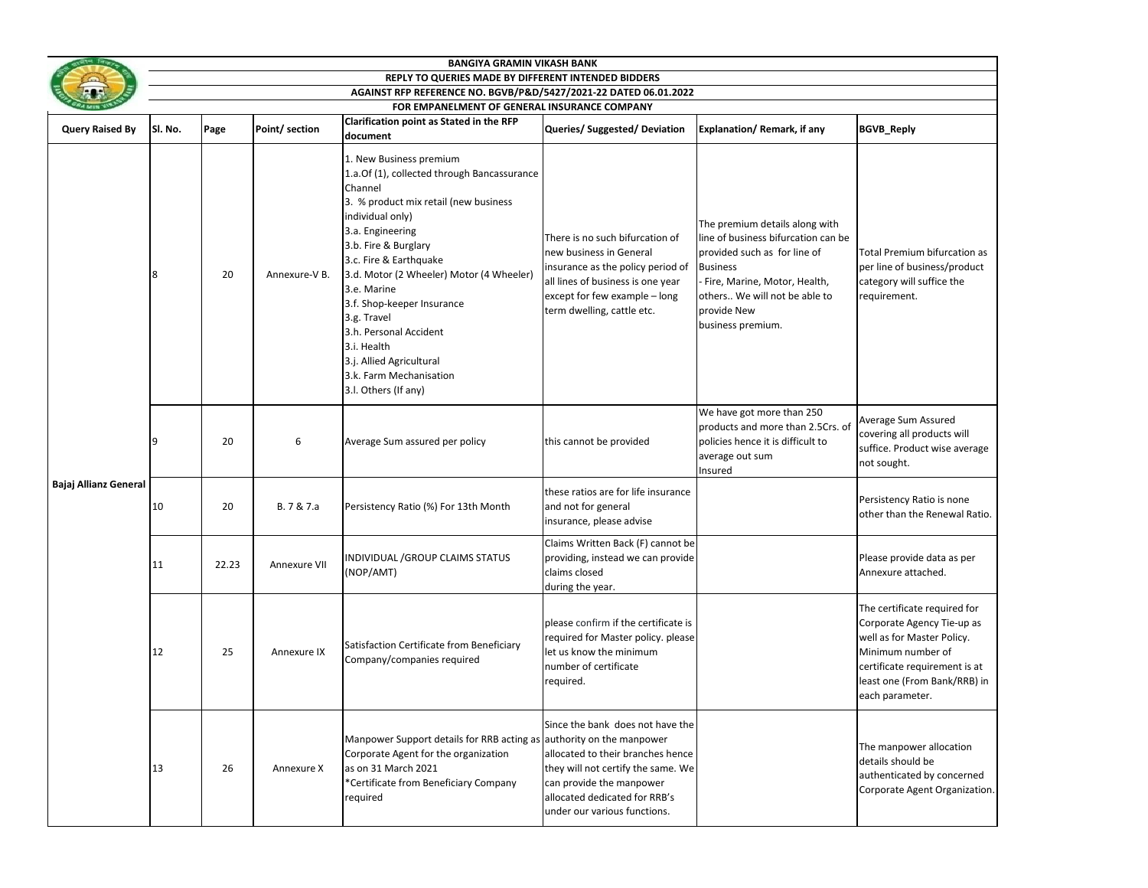|                        | <b>BANGIYA GRAMIN VIKASH BANK</b>                                                                                       |       |                |                                                                                                                                                                                                                                                                                                                                                                                                                                                      |                                                                                                                                                                                                          |                                                                                                                                                                                                                               |                                                                                                                                                                                                   |  |  |  |
|------------------------|-------------------------------------------------------------------------------------------------------------------------|-------|----------------|------------------------------------------------------------------------------------------------------------------------------------------------------------------------------------------------------------------------------------------------------------------------------------------------------------------------------------------------------------------------------------------------------------------------------------------------------|----------------------------------------------------------------------------------------------------------------------------------------------------------------------------------------------------------|-------------------------------------------------------------------------------------------------------------------------------------------------------------------------------------------------------------------------------|---------------------------------------------------------------------------------------------------------------------------------------------------------------------------------------------------|--|--|--|
|                        | REPLY TO QUERIES MADE BY DIFFERENT INTENDED BIDDERS<br>AGAINST RFP REFERENCE NO. BGVB/P&D/5427/2021-22 DATED 06.01.2022 |       |                |                                                                                                                                                                                                                                                                                                                                                                                                                                                      |                                                                                                                                                                                                          |                                                                                                                                                                                                                               |                                                                                                                                                                                                   |  |  |  |
|                        | FOR EMPANELMENT OF GENERAL INSURANCE COMPANY                                                                            |       |                |                                                                                                                                                                                                                                                                                                                                                                                                                                                      |                                                                                                                                                                                                          |                                                                                                                                                                                                                               |                                                                                                                                                                                                   |  |  |  |
| <b>Query Raised By</b> | Sl. No.                                                                                                                 | Page  | Point/ section | Clarification point as Stated in the RFP<br>document                                                                                                                                                                                                                                                                                                                                                                                                 | Queries/Suggested/Deviation                                                                                                                                                                              | Explanation/Remark, if any                                                                                                                                                                                                    | <b>BGVB_Reply</b>                                                                                                                                                                                 |  |  |  |
| Bajaj Allianz General  | 8                                                                                                                       | 20    | Annexure-V B.  | 1. New Business premium<br>1.a.Of (1), collected through Bancassurance<br>Channel<br>3. % product mix retail (new business<br>individual only)<br>3.a. Engineering<br>3.b. Fire & Burglary<br>3.c. Fire & Earthquake<br>3.d. Motor (2 Wheeler) Motor (4 Wheeler)<br>3.e. Marine<br>3.f. Shop-keeper Insurance<br>3.g. Travel<br>3.h. Personal Accident<br>3.i. Health<br>3.j. Allied Agricultural<br>3.k. Farm Mechanisation<br>3.I. Others (If any) | There is no such bifurcation of<br>new business in General<br>insurance as the policy period of<br>all lines of business is one year<br>except for few example - long<br>term dwelling, cattle etc.      | The premium details along with<br>line of business bifurcation can be<br>provided such as for line of<br><b>Business</b><br>Fire, Marine, Motor, Health,<br>others We will not be able to<br>provide New<br>business premium. | Total Premium bifurcation as<br>per line of business/product<br>category will suffice the<br>requirement.                                                                                         |  |  |  |
|                        | 9                                                                                                                       | 20    | 6              | Average Sum assured per policy                                                                                                                                                                                                                                                                                                                                                                                                                       | this cannot be provided                                                                                                                                                                                  | We have got more than 250<br>products and more than 2.5Crs. of<br>policies hence it is difficult to<br>average out sum<br>Insured                                                                                             | Average Sum Assured<br>covering all products will<br>suffice. Product wise average<br>not sought.                                                                                                 |  |  |  |
|                        | 10                                                                                                                      | 20    | B. 7 & 7.a     | Persistency Ratio (%) For 13th Month                                                                                                                                                                                                                                                                                                                                                                                                                 | these ratios are for life insurance<br>and not for general<br>insurance, please advise                                                                                                                   |                                                                                                                                                                                                                               | Persistency Ratio is none<br>other than the Renewal Ratio.                                                                                                                                        |  |  |  |
|                        | 11                                                                                                                      | 22.23 | Annexure VII   | INDIVIDUAL /GROUP CLAIMS STATUS<br>(NOP/AMT)                                                                                                                                                                                                                                                                                                                                                                                                         | Claims Written Back (F) cannot be<br>providing, instead we can provide<br>claims closed<br>during the year.                                                                                              |                                                                                                                                                                                                                               | Please provide data as per<br>Annexure attached.                                                                                                                                                  |  |  |  |
|                        | 12                                                                                                                      | 25    | Annexure IX    | Satisfaction Certificate from Beneficiary<br>Company/companies required                                                                                                                                                                                                                                                                                                                                                                              | please confirm if the certificate is<br>required for Master policy. please<br>let us know the minimum<br>number of certificate<br>required.                                                              |                                                                                                                                                                                                                               | The certificate required for<br>Corporate Agency Tie-up as<br>well as for Master Policy.<br>Minimum number of<br>certificate requirement is at<br>least one (From Bank/RRB) in<br>each parameter. |  |  |  |
|                        | 13                                                                                                                      | 26    | Annexure X     | Manpower Support details for RRB acting as authority on the manpower<br>Corporate Agent for the organization<br>as on 31 March 2021<br>*Certificate from Beneficiary Company<br>required                                                                                                                                                                                                                                                             | Since the bank does not have the<br>allocated to their branches hence<br>they will not certify the same. We<br>can provide the manpower<br>allocated dedicated for RRB's<br>under our various functions. |                                                                                                                                                                                                                               | The manpower allocation<br>details should be<br>authenticated by concerned<br>Corporate Agent Organization.                                                                                       |  |  |  |